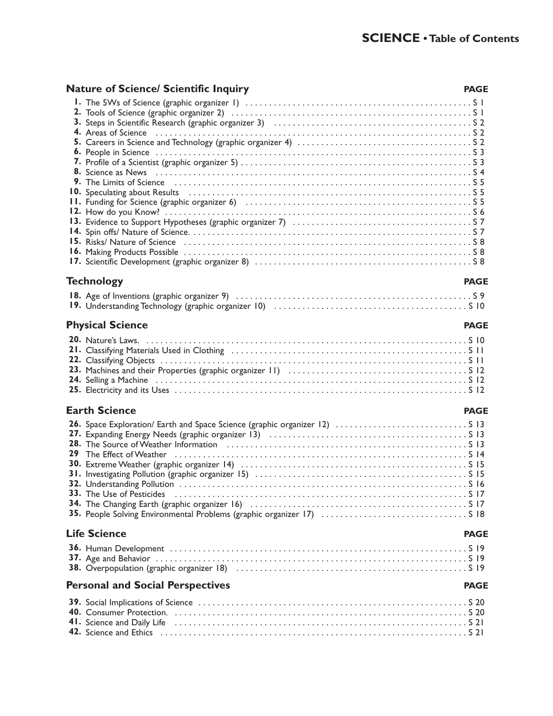### **Nature of Science/ Scientific Inquiry PAGE**<br> **PAGE**

| 10. Speculating about Results (all contained according to the state of the state of the state of the state of the state of the state of the state of the state of the state of the state of the state of the state of the stat |             |  |
|--------------------------------------------------------------------------------------------------------------------------------------------------------------------------------------------------------------------------------|-------------|--|
|                                                                                                                                                                                                                                |             |  |
|                                                                                                                                                                                                                                |             |  |
|                                                                                                                                                                                                                                |             |  |
|                                                                                                                                                                                                                                |             |  |
|                                                                                                                                                                                                                                |             |  |
|                                                                                                                                                                                                                                |             |  |
|                                                                                                                                                                                                                                |             |  |
|                                                                                                                                                                                                                                |             |  |
| <b>Technology</b>                                                                                                                                                                                                              | <b>PAGE</b> |  |
|                                                                                                                                                                                                                                |             |  |
|                                                                                                                                                                                                                                |             |  |
|                                                                                                                                                                                                                                |             |  |
| <b>Physical Science</b>                                                                                                                                                                                                        | <b>PAGE</b> |  |
|                                                                                                                                                                                                                                |             |  |
|                                                                                                                                                                                                                                |             |  |
|                                                                                                                                                                                                                                |             |  |
|                                                                                                                                                                                                                                |             |  |
|                                                                                                                                                                                                                                |             |  |
|                                                                                                                                                                                                                                |             |  |
| <b>Earth Science</b>                                                                                                                                                                                                           | <b>PAGE</b> |  |
|                                                                                                                                                                                                                                |             |  |
|                                                                                                                                                                                                                                |             |  |
|                                                                                                                                                                                                                                |             |  |
|                                                                                                                                                                                                                                |             |  |
|                                                                                                                                                                                                                                |             |  |
|                                                                                                                                                                                                                                |             |  |
|                                                                                                                                                                                                                                |             |  |
|                                                                                                                                                                                                                                |             |  |
|                                                                                                                                                                                                                                |             |  |
|                                                                                                                                                                                                                                |             |  |
|                                                                                                                                                                                                                                |             |  |
| <b>Life Science</b>                                                                                                                                                                                                            | <b>PAGE</b> |  |
|                                                                                                                                                                                                                                |             |  |
|                                                                                                                                                                                                                                |             |  |
|                                                                                                                                                                                                                                |             |  |
| <b>Personal and Social Perspectives</b>                                                                                                                                                                                        | <b>PAGE</b> |  |
|                                                                                                                                                                                                                                |             |  |
|                                                                                                                                                                                                                                |             |  |
|                                                                                                                                                                                                                                |             |  |
|                                                                                                                                                                                                                                |             |  |
|                                                                                                                                                                                                                                |             |  |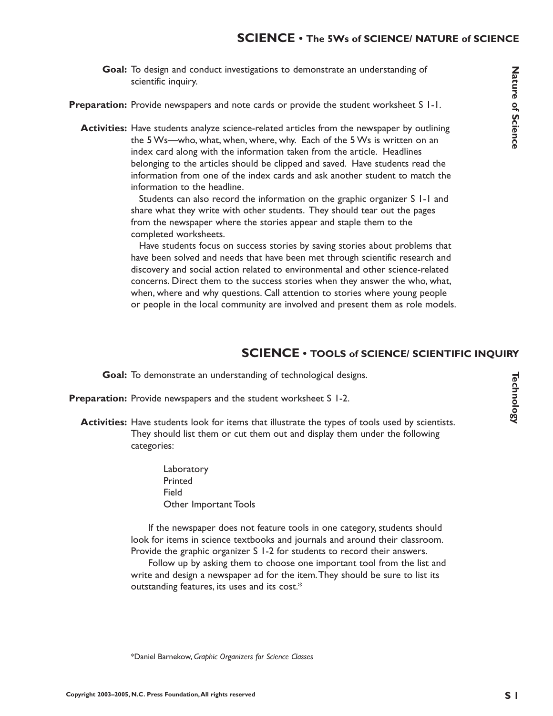Goal: To design and conduct investigations to demonstrate an understanding of scientific inquiry.

Preparation: Provide newspapers and note cards or provide the student worksheet S I-I.

**Activities:** Have students analyze science-related articles from the newspaper by outlining the 5 Ws—who, what, when, where, why. Each of the 5 Ws is written on an index card along with the information taken from the article. Headlines belonging to the articles should be clipped and saved. Have students read the information from one of the index cards and ask another student to match the information to the headline.

> Students can also record the information on the graphic organizer S 1-1 and share what they write with other students. They should tear out the pages from the newspaper where the stories appear and staple them to the completed worksheets.

Have students focus on success stories by saving stories about problems that have been solved and needs that have been met through scientific research and discovery and social action related to environmental and other science-related concerns. Direct them to the success stories when they answer the who, what, when, where and why questions. Call attention to stories where young people or people in the local community are involved and present them as role models.

#### **SCIENCE • TOOLS of SCIENCE/ SCIENTIFIC INQUIRY**

Goal: To demonstrate an understanding of technological designs.

**Preparation:** Provide newspapers and the student worksheet S 1-2.

Activities: Have students look for items that illustrate the types of tools used by scientists. They should list them or cut them out and display them under the following categories:

> Laboratory Printed Field Other Important Tools

If the newspaper does not feature tools in one category, students should look for items in science textbooks and journals and around their classroom. Provide the graphic organizer S 1-2 for students to record their answers.

Follow up by asking them to choose one important tool from the list and write and design a newspaper ad for the item.They should be sure to list its outstanding features, its uses and its cost.\*

**TechnologyFechnology**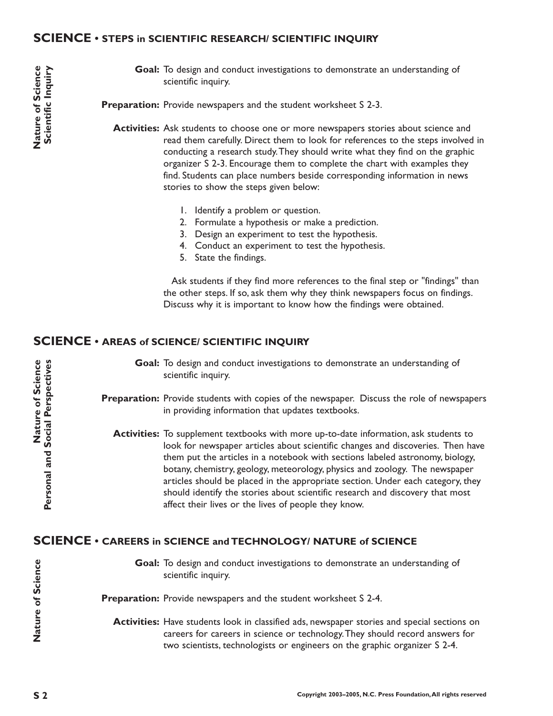#### **SCIENCE • STEPS in SCIENTIFIC RESEARCH/ SCIENTIFIC INQUIRY**

Goal: To design and conduct investigations to demonstrate an understanding of scientific inquiry.

Preparation: Provide newspapers and the student worksheet S 2-3.

- **Activities:** Ask students to choose one or more newspapers stories about science and read them carefully. Direct them to look for references to the steps involved in conducting a research study.They should write what they find on the graphic organizer S 2-3. Encourage them to complete the chart with examples they find. Students can place numbers beside corresponding information in news stories to show the steps given below:
	- 1. Identify a problem or question.
	- 2. Formulate a hypothesis or make a prediction.
	- 3. Design an experiment to test the hypothesis.
	- 4. Conduct an experiment to test the hypothesis.
	- 5. State the findings.

Ask students if they find more references to the final step or "findings" than the other steps. If so, ask them why they think newspapers focus on findings. Discuss why it is important to know how the findings were obtained.

#### **SCIENCE • AREAS of SCIENCE/ SCIENTIFIC INQUIRY**

Goal: To design and conduct investigations to demonstrate an understanding of scientific inquiry.

**Preparation:** Provide students with copies of the newspaper. Discuss the role of newspapers in providing information that updates textbooks.

**Activities:** To supplement textbooks with more up-to-date information, ask students to look for newspaper articles about scientific changes and discoveries. Then have them put the articles in a notebook with sections labeled astronomy, biology, botany, chemistry, geology, meteorology, physics and zoology. The newspaper articles should be placed in the appropriate section. Under each category, they should identify the stories about scientific research and discovery that most affect their lives or the lives of people they know.

#### **SCIENCE • CAREERS in SCIENCE and TECHNOLOGY/ NATURE of SCIENCE**

Goal: To design and conduct investigations to demonstrate an understanding of scientific inquiry.

Preparation: Provide newspapers and the student worksheet S 2-4.

**Activities:** Have students look in classified ads, newspaper stories and special sections on careers for careers in science or technology.They should record answers for two scientists, technologists or engineers on the graphic organizer S 2-4.

**Nature of Science**

Nature of Science

**Nature of Science**

Nature of Science

**Personal and Social Perspectives**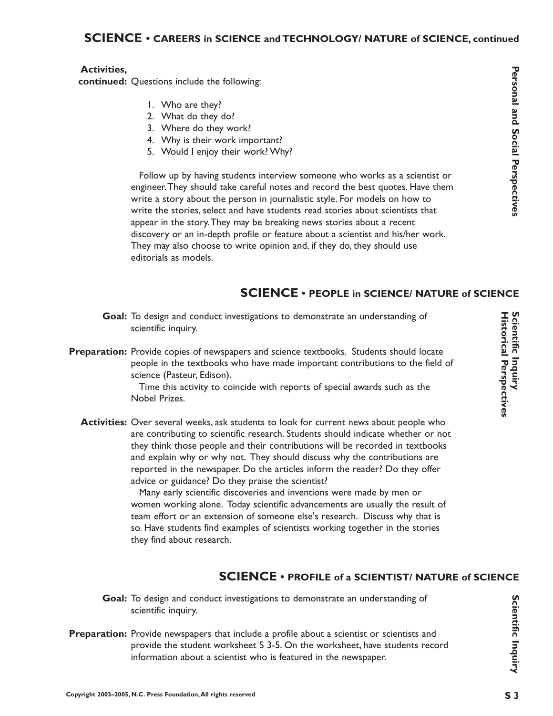#### **SCIENCE • CAREERS in SCIENCE and TECHNOLOGY/ NATURE of SCIENCE, continued**

## Personal and Social Perspectives **ersonal and Social Perspectives**

#### **Activities,**

continued: Questions include the following:

- 1. Who are they?
- 2. What do they do?
- 3. Where do they work?
- 4. Why is their work important?
- 5. Would I enjoy their work? Why?

Follow up by having students interview someone who works as a scientist or engineer.They should take careful notes and record the best quotes. Have them write a story about the person in journalistic style. For models on how to write the stories, select and have students read stories about scientists that appear in the story.They may be breaking news stories about a recent discovery or an in-depth profile or feature about a scientist and his/her work. They may also choose to write opinion and, if they do, they should use editorials as models.

#### **SCIENCE • PEOPLE in SCIENCE/ NATURE of SCIENCE**

- Goal: To design and conduct investigations to demonstrate an understanding of scientific inquiry.
- Preparation: Provide copies of newspapers and science textbooks. Students should locate people in the textbooks who have made important contributions to the field of science (Pasteur, Edison).

Time this activity to coincide with reports of special awards such as the Nobel Prizes.

Activities: Over several weeks, ask students to look for current news about people who are contributing to scientific research. Students should indicate whether or not they think those people and their contributions will be recorded in textbooks and explain why or why not. They should discuss why the contributions are reported in the newspaper. Do the articles inform the reader? Do they offer advice or guidance? Do they praise the scientist?

> Many early scientific discoveries and inventions were made by men or women working alone. Today scientific advancements are usually the result of team effort or an extension of someone else's research. Discuss why that is so. Have students find examples of scientists working together in the stories they find about research.

#### **SCIENCE • PROFILE of a SCIENTIST/ NATURE of SCIENCE**

- Goal: To design and conduct investigations to demonstrate an understanding of scientific inquiry.
- Preparation: Provide newspapers that include a profile about a scientist or scientists and provide the student worksheet S 3-5. On the worksheet, have students record information about a scientist who is featured in the newspaper.

**Scientific Inquiry**

Scientific Inquiry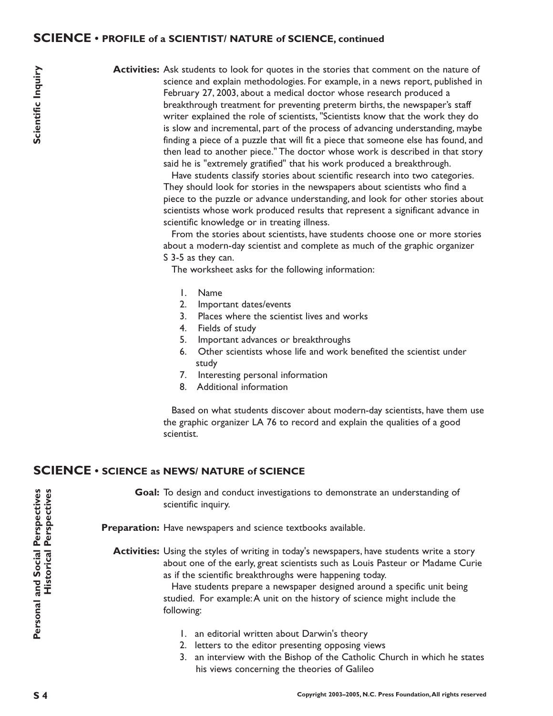#### **SCIENCE • PROFILE of a SCIENTIST/ NATURE of SCIENCE, continued**

Activities: Ask students to look for quotes in the stories that comment on the nature of science and explain methodologies. For example, in a news report, published in February 27, 2003, about a medical doctor whose research produced a breakthrough treatment for preventing preterm births, the newspaper's staff writer explained the role of scientists, "Scientists know that the work they do is slow and incremental, part of the process of advancing understanding, maybe finding a piece of a puzzle that will fit a piece that someone else has found, and then lead to another piece." The doctor whose work is described in that story said he is "extremely gratified" that his work produced a breakthrough.

> Have students classify stories about scientific research into two categories. They should look for stories in the newspapers about scientists who find a piece to the puzzle or advance understanding, and look for other stories about scientists whose work produced results that represent a significant advance in scientific knowledge or in treating illness.

> From the stories about scientists, have students choose one or more stories about a modern-day scientist and complete as much of the graphic organizer S 3-5 as they can.

The worksheet asks for the following information:

- 1. Name
- 2. Important dates/events
- 3. Places where the scientist lives and works
- 4. Fields of study
- 5. Important advances or breakthroughs
- 6. Other scientists whose life and work benefited the scientist under study
- 7. Interesting personal information
- 8. Additional information

Based on what students discover about modern-day scientists, have them use the graphic organizer LA 76 to record and explain the qualities of a good scientist.

#### **SCIENCE • SCIENCE as NEWS/ NATURE of SCIENCE**

Goal: To design and conduct investigations to demonstrate an understanding of scientific inquiry.

Preparation: Have newspapers and science textbooks available.

**Activities:** Using the styles of writing in today's newspapers, have students write a story about one of the early, great scientists such as Louis Pasteur or Madame Curie as if the scientific breakthroughs were happening today.

> Have students prepare a newspaper designed around a specific unit being studied. For example:A unit on the history of science might include the following:

- 1. an editorial written about Darwin's theory
- 2. letters to the editor presenting opposing views
- 3. an interview with the Bishop of the Catholic Church in which he states his views concerning the theories of Galileo

 $S<sub>4</sub>$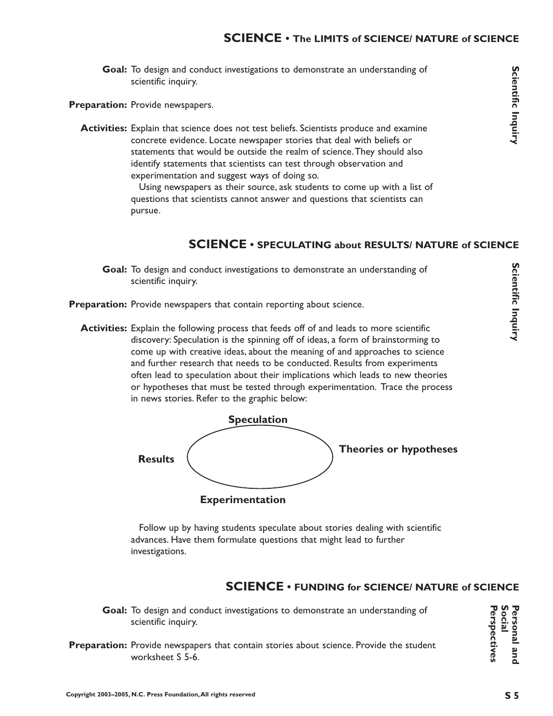Goal: To design and conduct investigations to demonstrate an understanding of scientific inquiry.

Preparation: Provide newspapers.

**Activities:** Explain that science does not test beliefs. Scientists produce and examine concrete evidence. Locate newspaper stories that deal with beliefs or statements that would be outside the realm of science.They should also identify statements that scientists can test through observation and experimentation and suggest ways of doing so.

> Using newspapers as their source, ask students to come up with a list of questions that scientists cannot answer and questions that scientists can pursue.

#### **SCIENCE • SPECULATING about RESULTS/ NATURE of SCIENCE**

- Goal: To design and conduct investigations to demonstrate an understanding of scientific inquiry.
- Preparation: Provide newspapers that contain reporting about science.
	- **Activities:** Explain the following process that feeds off of and leads to more scientific discovery: Speculation is the spinning off of ideas, a form of brainstorming to come up with creative ideas, about the meaning of and approaches to science and further research that needs to be conducted. Results from experiments often lead to speculation about their implications which leads to new theories or hypotheses that must be tested through experimentation. Trace the process in news stories. Refer to the graphic below:



Follow up by having students speculate about stories dealing with scientific advances. Have them formulate questions that might lead to further investigations.

#### **SCIENCE • FUNDING for SCIENCE/ NATURE of SCIENCE**

- Goal: To design and conduct investigations to demonstrate an understanding of scientific inquiry.
- Preparation: Provide newspapers that contain stories about science. Provide the student worksheet S 5-6.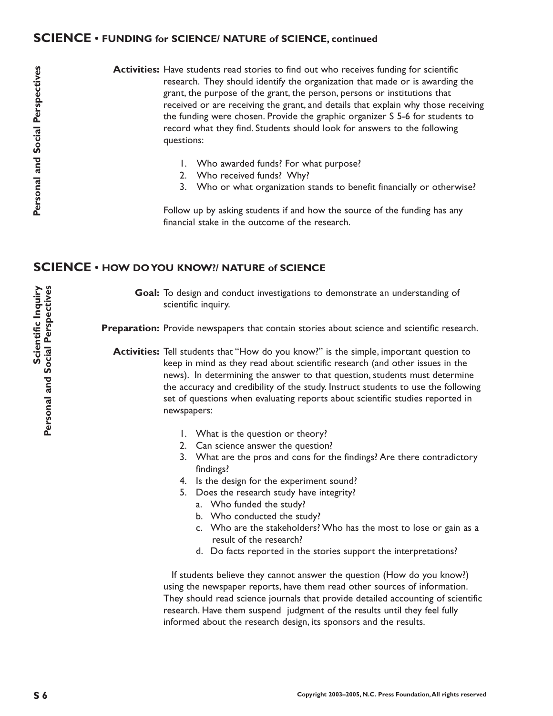#### **SCIENCE • FUNDING for SCIENCE/ NATURE of SCIENCE, continued**

Activities: Have students read stories to find out who receives funding for scientific research. They should identify the organization that made or is awarding the grant, the purpose of the grant, the person, persons or institutions that received or are receiving the grant, and details that explain why those receiving the funding were chosen. Provide the graphic organizer S 5-6 for students to record what they find. Students should look for answers to the following questions:

- 1. Who awarded funds? For what purpose?
- 2. Who received funds? Why?
- 3. Who or what organization stands to benefit financially or otherwise?

Follow up by asking students if and how the source of the funding has any financial stake in the outcome of the research.

#### **SCIENCE • HOW DO YOU KNOW?/ NATURE of SCIENCE**

Goal: To design and conduct investigations to demonstrate an understanding of scientific inquiry.

Preparation: Provide newspapers that contain stories about science and scientific research.

**Activities:** Tell students that "How do you know?" is the simple, important question to keep in mind as they read about scientific research (and other issues in the news). In determining the answer to that question, students must determine the accuracy and credibility of the study. Instruct students to use the following set of questions when evaluating reports about scientific studies reported in newspapers:

- 1. What is the question or theory?
- 2. Can science answer the question?
- 3. What are the pros and cons for the findings? Are there contradictory findings?
- 4. Is the design for the experiment sound?
- 5. Does the research study have integrity?
	- a. Who funded the study?
	- b. Who conducted the study?
	- c. Who are the stakeholders? Who has the most to lose or gain as a result of the research?
	- d. Do facts reported in the stories support the interpretations?

If students believe they cannot answer the question (How do you know?) using the newspaper reports, have them read other sources of information. They should read science journals that provide detailed accounting of scientific research. Have them suspend judgment of the results until they feel fully informed about the research design, its sponsors and the results.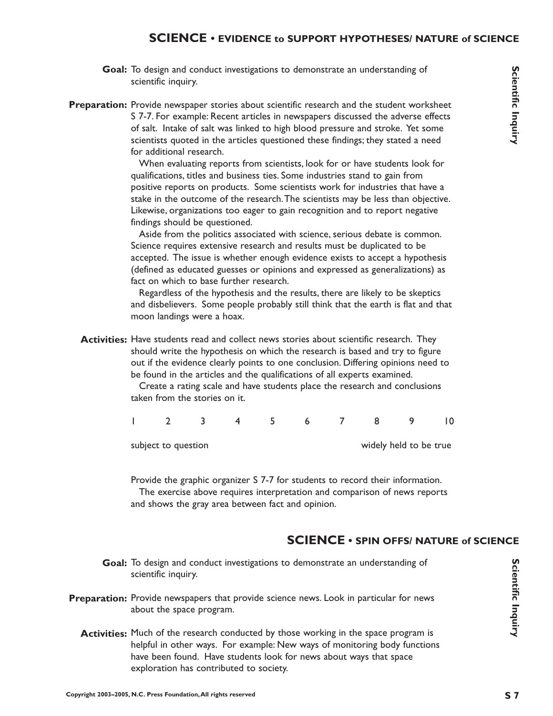#### **SCIENCE • EVIDENCE to SUPPORT HYPOTHESES/ NATURE of SCIENCE**

- Goal: To design and conduct investigations to demonstrate an understanding of scientific inquiry.
- Preparation: Provide newspaper stories about scientific research and the student worksheet S 7-7. For example: Recent articles in newspapers discussed the adverse effects of salt. Intake of salt was linked to high blood pressure and stroke. Yet some scientists quoted in the articles questioned these findings; they stated a need for additional research.

When evaluating reports from scientists, look for or have students look for qualifications, titles and business ties. Some industries stand to gain from positive reports on products. Some scientists work for industries that have a stake in the outcome of the research.The scientists may be less than objective. Likewise, organizations too eager to gain recognition and to report negative findings should be questioned.

Aside from the politics associated with science, serious debate is common. Science requires extensive research and results must be duplicated to be accepted. The issue is whether enough evidence exists to accept a hypothesis (defined as educated guesses or opinions and expressed as generalizations) as fact on which to base further research.

Regardless of the hypothesis and the results, there are likely to be skeptics and disbelievers. Some people probably still think that the earth is flat and that moon landings were a hoax.

**Activities:** Have students read and collect news stories about scientific research. They should write the hypothesis on which the research is based and try to figure out if the evidence clearly points to one conclusion. Differing opinions need to be found in the articles and the qualifications of all experts examined.

> Create a rating scale and have students place the research and conclusions taken from the stories on it.

|                     |  | $\sim$ 5 $\sim$ 5 $\sim$ |  | 678                    | 10 |
|---------------------|--|--------------------------|--|------------------------|----|
| subject to question |  |                          |  | widely held to be true |    |

Provide the graphic organizer S 7-7 for students to record their information. The exercise above requires interpretation and comparison of news reports and shows the gray area between fact and opinion.

#### **SCIENCE • SPIN OFFS/ NATURE of SCIENCE**

- Goal: To design and conduct investigations to demonstrate an understanding of scientific inquiry.
- Preparation: Provide newspapers that provide science news. Look in particular for news about the space program.
	- **Activities:** Much of the research conducted by those working in the space program is helpful in other ways. For example: New ways of monitoring body functions have been found. Have students look for news about ways that space exploration has contributed to society.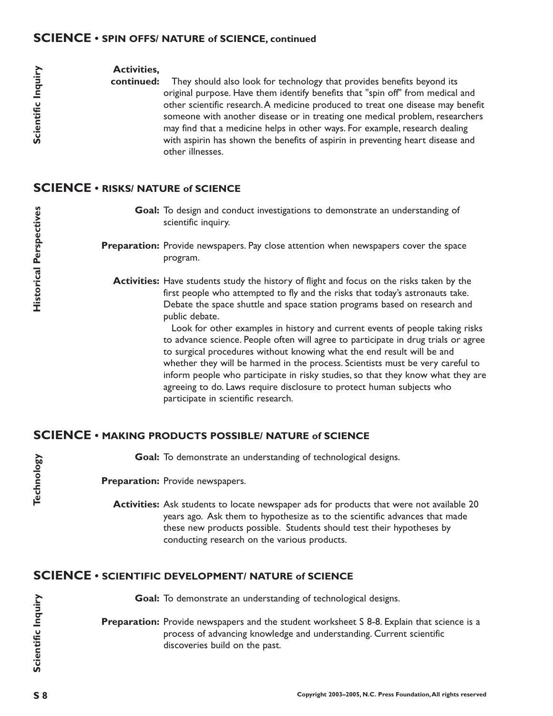#### **SCIENCE • SPIN OFFS/ NATURE of SCIENCE, continued**

#### **Activities,**

They should also look for technology that provides benefits beyond its original purpose. Have them identify benefits that "spin off" from medical and other scientific research.A medicine produced to treat one disease may benefit someone with another disease or in treating one medical problem, researchers may find that a medicine helps in other ways. For example, research dealing with aspirin has shown the benefits of aspirin in preventing heart disease and other illnesses. **continued:**

#### **SCIENCE • RISKS/ NATURE of SCIENCE**

Goal: To design and conduct investigations to demonstrate an understanding of scientific inquiry.

Preparation: Provide newspapers. Pay close attention when newspapers cover the space program.

**Activities:** Have students study the history of flight and focus on the risks taken by the first people who attempted to fly and the risks that today's astronauts take. Debate the space shuttle and space station programs based on research and public debate.

> Look for other examples in history and current events of people taking risks to advance science. People often will agree to participate in drug trials or agree to surgical procedures without knowing what the end result will be and whether they will be harmed in the process. Scientists must be very careful to inform people who participate in risky studies, so that they know what they are agreeing to do. Laws require disclosure to protect human subjects who participate in scientific research.

#### **SCIENCE • MAKING PRODUCTS POSSIBLE/ NATURE of SCIENCE**

Goal: To demonstrate an understanding of technological designs.

Preparation: Provide newspapers.

**Activities:** Ask students to locate newspaper ads for products that were not available 20 years ago. Ask them to hypothesize as to the scientific advances that made these new products possible. Students should test their hypotheses by conducting research on the various products.

#### **SCIENCE • SCIENTIFIC DEVELOPMENT/ NATURE of SCIENCE**

Goal: To demonstrate an understanding of technological designs. **Preparation:** Provide newspapers and the student worksheet S 8-8. Explain that science is a process of advancing knowledge and understanding. Current scientific discoveries build on the past.

**Scientific Inquiry**

Scientific Inquiry

Scientific Inquiry

Technology **Technology**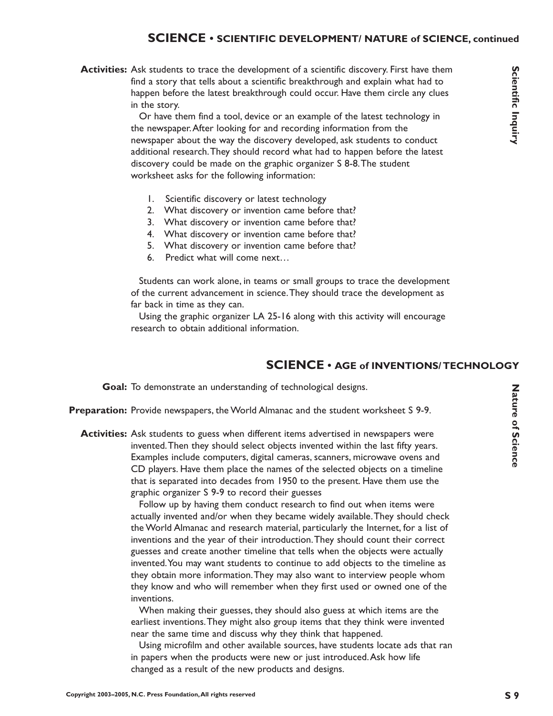#### **SCIENCE • SCIENTIFIC DEVELOPMENT/ NATURE of SCIENCE, continued**

**Activities:** Ask students to trace the development of a scientific discovery. First have them find a story that tells about a scientific breakthrough and explain what had to happen before the latest breakthrough could occur. Have them circle any clues in the story.

> Or have them find a tool, device or an example of the latest technology in the newspaper.After looking for and recording information from the newspaper about the way the discovery developed, ask students to conduct additional research.They should record what had to happen before the latest discovery could be made on the graphic organizer S 8-8.The student worksheet asks for the following information:

- 1. Scientific discovery or latest technology
- 2. What discovery or invention came before that?
- 3. What discovery or invention came before that?
- 4. What discovery or invention came before that?
- 5. What discovery or invention came before that?
- 6. Predict what will come next…

Students can work alone, in teams or small groups to trace the development of the current advancement in science.They should trace the development as far back in time as they can.

Using the graphic organizer LA 25-16 along with this activity will encourage research to obtain additional information.

#### **SCIENCE • AGE of INVENTIONS/ TECHNOLOGY**

Goal: To demonstrate an understanding of technological designs.

- Preparation: Provide newspapers, the World Almanac and the student worksheet S 9-9.
	- **Activities:** Ask students to guess when different items advertised in newspapers were invented.Then they should select objects invented within the last fifty years. Examples include computers, digital cameras, scanners, microwave ovens and CD players. Have them place the names of the selected objects on a timeline that is separated into decades from 1950 to the present. Have them use the graphic organizer S 9-9 to record their guesses

Follow up by having them conduct research to find out when items were actually invented and/or when they became widely available.They should check the World Almanac and research material, particularly the Internet, for a list of inventions and the year of their introduction.They should count their correct guesses and create another timeline that tells when the objects were actually invented.You may want students to continue to add objects to the timeline as they obtain more information.They may also want to interview people whom they know and who will remember when they first used or owned one of the inventions.

When making their guesses, they should also guess at which items are the earliest inventions.They might also group items that they think were invented near the same time and discuss why they think that happened.

Using microfilm and other available sources, have students locate ads that ran in papers when the products were new or just introduced.Ask how life changed as a result of the new products and designs.

Scientific Inquiry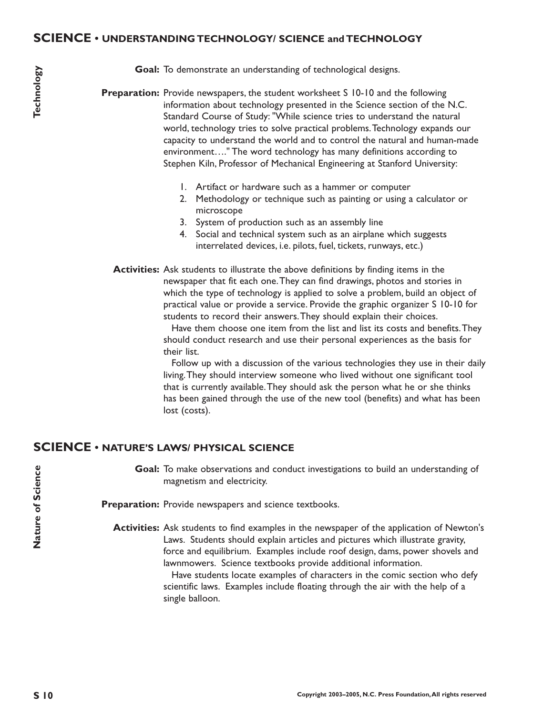#### **SCIENCE • UNDERSTANDING TECHNOLOGY/ SCIENCE and TECHNOLOGY**

Goal: To demonstrate an understanding of technological designs.

**Preparation:** Provide newspapers, the student worksheet S 10-10 and the following information about technology presented in the Science section of the N.C. Standard Course of Study: "While science tries to understand the natural world, technology tries to solve practical problems.Technology expands our capacity to understand the world and to control the natural and human-made environment…." The word technology has many definitions according to Stephen Kiln, Professor of Mechanical Engineering at Stanford University:

- 1. Artifact or hardware such as a hammer or computer
- 2. Methodology or technique such as painting or using a calculator or microscope
- 3. System of production such as an assembly line
- 4. Social and technical system such as an airplane which suggests interrelated devices, i.e. pilots, fuel, tickets, runways, etc.)
- **Activities:** Ask students to illustrate the above definitions by finding items in the newspaper that fit each one.They can find drawings, photos and stories in which the type of technology is applied to solve a problem, build an object of practical value or provide a service. Provide the graphic organizer S 10-10 for students to record their answers.They should explain their choices.

Have them choose one item from the list and list its costs and benefits.They should conduct research and use their personal experiences as the basis for their list.

Follow up with a discussion of the various technologies they use in their daily living.They should interview someone who lived without one significant tool that is currently available.They should ask the person what he or she thinks has been gained through the use of the new tool (benefits) and what has been lost (costs).

#### **SCIENCE • NATURE'S LAWS/ PHYSICAL SCIENCE**

Goal: To make observations and conduct investigations to build an understanding of magnetism and electricity.

Preparation: Provide newspapers and science textbooks.

**Activities:** Ask students to find examples in the newspaper of the application of Newton's Laws. Students should explain articles and pictures which illustrate gravity, force and equilibrium. Examples include roof design, dams, power shovels and lawnmowers. Science textbooks provide additional information.

> Have students locate examples of characters in the comic section who defy scientific laws. Examples include floating through the air with the help of a single balloon.

**Nature of Science**

Nature of Science

**S 10**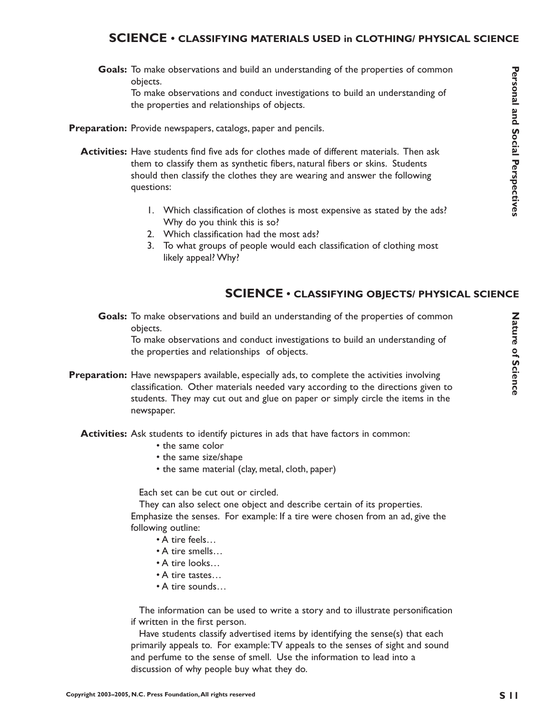#### **SCIENCE • CLASSIFYING MATERIALS USED in CLOTHING/ PHYSICAL SCIENCE**

Goals: To make observations and build an understanding of the properties of common objects.

To make observations and conduct investigations to build an understanding of the properties and relationships of objects.

- Preparation: Provide newspapers, catalogs, paper and pencils.
	- **Activities:** Have students find five ads for clothes made of different materials. Then ask them to classify them as synthetic fibers, natural fibers or skins. Students should then classify the clothes they are wearing and answer the following questions:
		- 1. Which classification of clothes is most expensive as stated by the ads? Why do you think this is so?
		- 2. Which classification had the most ads?
		- 3. To what groups of people would each classification of clothing most likely appeal? Why?

#### **SCIENCE • CLASSIFYING OBJECTS/ PHYSICAL SCIENCE**

Goals: To make observations and build an understanding of the properties of common objects.

To make observations and conduct investigations to build an understanding of the properties and relationships of objects.

- **Preparation:** Have newspapers available, especially ads, to complete the activities involving classification. Other materials needed vary according to the directions given to students. They may cut out and glue on paper or simply circle the items in the newspaper.
	- **Activities:** Ask students to identify pictures in ads that have factors in common:
		- the same color
		- the same size/shape
		- the same material (clay, metal, cloth, paper)

Each set can be cut out or circled.

They can also select one object and describe certain of its properties. Emphasize the senses. For example: If a tire were chosen from an ad, give the following outline:

- A tire feels…
- A tire smells…
- A tire looks…
- A tire tastes…
- A tire sounds…

The information can be used to write a story and to illustrate personification if written in the first person.

Have students classify advertised items by identifying the sense(s) that each primarily appeals to. For example:TV appeals to the senses of sight and sound and perfume to the sense of smell. Use the information to lead into a discussion of why people buy what they do.

Personal and Social Perspectives **ersonal and Social Perspectives**

Nature of Science **Nature of Science**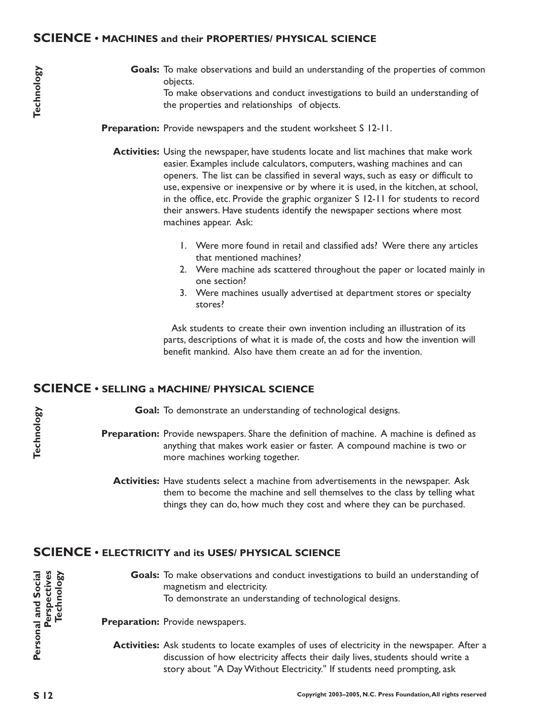#### **SCIENCE • MACHINES and their PROPERTIES/ PHYSICAL SCIENCE**

Goals: To make observations and build an understanding of the properties of common objects. To make observations and conduct investigations to build an understanding of the properties and relationships of objects.

**Preparation:** Provide newspapers and the student worksheet S 12-11.

- **Activities:** Using the newspaper, have students locate and list machines that make work easier. Examples include calculators, computers, washing machines and can openers. The list can be classified in several ways, such as easy or difficult to use, expensive or inexpensive or by where it is used, in the kitchen, at school, in the office, etc. Provide the graphic organizer S 12-11 for students to record their answers. Have students identify the newspaper sections where most machines appear. Ask:
	- 1. Were more found in retail and classified ads? Were there any articles that mentioned machines?
	- 2. Were machine ads scattered throughout the paper or located mainly in one section?
	- 3. Were machines usually advertised at department stores or specialty stores?

Ask students to create their own invention including an illustration of its parts, descriptions of what it is made of, the costs and how the invention will benefit mankind. Also have them create an ad for the invention.

#### **SCIENCE • SELLING a MACHINE/ PHYSICAL SCIENCE**

Goal: To demonstrate an understanding of technological designs.

- Preparation: Provide newspapers. Share the definition of machine. A machine is defined as anything that makes work easier or faster. A compound machine is two or more machines working together.
	- **Activities:** Have students select a machine from advertisements in the newspaper. Ask them to become the machine and sell themselves to the class by telling what things they can do, how much they cost and where they can be purchased.

#### **SCIENCE • ELECTRICITY and its USES/ PHYSICAL SCIENCE**

Goals: To make observations and conduct investigations to build an understanding of magnetism and electricity. To demonstrate an understanding of technological designs.

Preparation: Provide newspapers.

**Activities:** Ask students to locate examples of uses of electricity in the newspaper. After a discussion of how electricity affects their daily lives, students should write a story about "A Day Without Electricity." If students need prompting, ask

**Personal and Social**

Personal and Social

**Perspectives Technology**

Perspectives Technology

**Technology**

Technology

**Technology**

Technology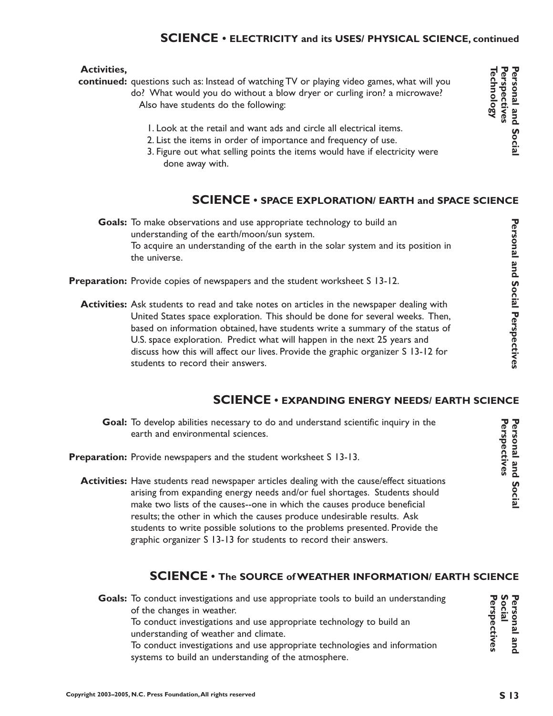#### **SCIENCE • ELECTRICITY and its USES/ PHYSICAL SCIENCE, continued**

#### **Activities,**

continued: questions such as: Instead of watching TV or playing video games, what will you do? What would you do without a blow dryer or curling iron? a microwave? Also have students do the following:

- 1. Look at the retail and want ads and circle all electrical items.
- 2. List the items in order of importance and frequency of use.
- 3. Figure out what selling points the items would have if electricity were done away with.

#### **SCIENCE • SPACE EXPLORATION/ EARTH and SPACE SCIENCE**

Goals: To make observations and use appropriate technology to build an understanding of the earth/moon/sun system. To acquire an understanding of the earth in the solar system and its position in the universe.

- Preparation: Provide copies of newspapers and the student worksheet S 13-12.
	- **Activities:** Ask students to read and take notes on articles in the newspaper dealing with United States space exploration. This should be done for several weeks. Then, based on information obtained, have students write a summary of the status of U.S. space exploration. Predict what will happen in the next 25 years and discuss how this will affect our lives. Provide the graphic organizer S 13-12 for students to record their answers.

#### **SCIENCE • EXPANDING ENERGY NEEDS/ EARTH SCIENCE**

- Goal: To develop abilities necessary to do and understand scientific inquiry in the earth and environmental sciences.
- Preparation: Provide newspapers and the student worksheet S 13-13.
	- **Activities:** Have students read newspaper articles dealing with the cause/effect situations arising from expanding energy needs and/or fuel shortages. Students should make two lists of the causes--one in which the causes produce beneficial results; the other in which the causes produce undesirable results. Ask students to write possible solutions to the problems presented. Provide the graphic organizer S 13-13 for students to record their answers.

#### **SCIENCE • The SOURCE of WEATHER INFORMATION/ EARTH SCIENCE**

**Personal and Social**

Personal and Socia

**Perspectives**

Perspectives

**Personal and**

Personal and

**Perspectives** 

**erspectives**

**Social**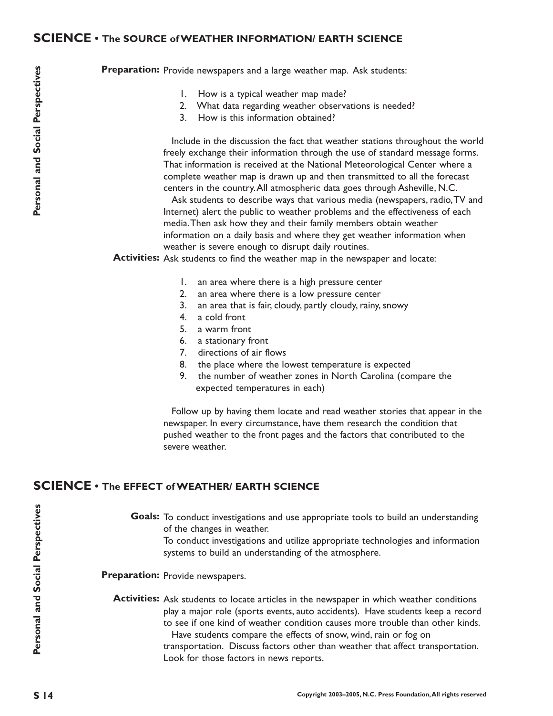#### **SCIENCE • The SOURCE of WEATHER INFORMATION/ EARTH SCIENCE**

Preparation: Provide newspapers and a large weather map. Ask students:

- 1. How is a typical weather map made?
- 2. What data regarding weather observations is needed?
- 3. How is this information obtained?

Include in the discussion the fact that weather stations throughout the world freely exchange their information through the use of standard message forms. That information is received at the National Meteorological Center where a complete weather map is drawn up and then transmitted to all the forecast centers in the country.All atmospheric data goes through Asheville, N.C.

Ask students to describe ways that various media (newspapers, radio,TV and Internet) alert the public to weather problems and the effectiveness of each media.Then ask how they and their family members obtain weather information on a daily basis and where they get weather information when weather is severe enough to disrupt daily routines.

**Activities:** Ask students to find the weather map in the newspaper and locate:

- 1. an area where there is a high pressure center
- 2. an area where there is a low pressure center
- 3. an area that is fair, cloudy, partly cloudy, rainy, snowy
- 4. a cold front
- 5. a warm front
- 6. a stationary front
- 7. directions of air flows
- 8. the place where the lowest temperature is expected
- 9. the number of weather zones in North Carolina (compare the expected temperatures in each)

Follow up by having them locate and read weather stories that appear in the newspaper. In every circumstance, have them research the condition that pushed weather to the front pages and the factors that contributed to the severe weather.

#### **SCIENCE • The EFFECT of WEATHER/ EARTH SCIENCE**

Goals: To conduct investigations and use appropriate tools to build an understanding of the changes in weather.

To conduct investigations and utilize appropriate technologies and information systems to build an understanding of the atmosphere.

Preparation: Provide newspapers.

#### Activities: Ask students to locate articles in the newspaper in which weather conditions play a major role (sports events, auto accidents). Have students keep a record to see if one kind of weather condition causes more trouble than other kinds. Have students compare the effects of snow, wind, rain or fog on

transportation. Discuss factors other than weather that affect transportation. Look for those factors in news reports.

**Personal and Social Perspectives**

 $S<sub>14</sub>$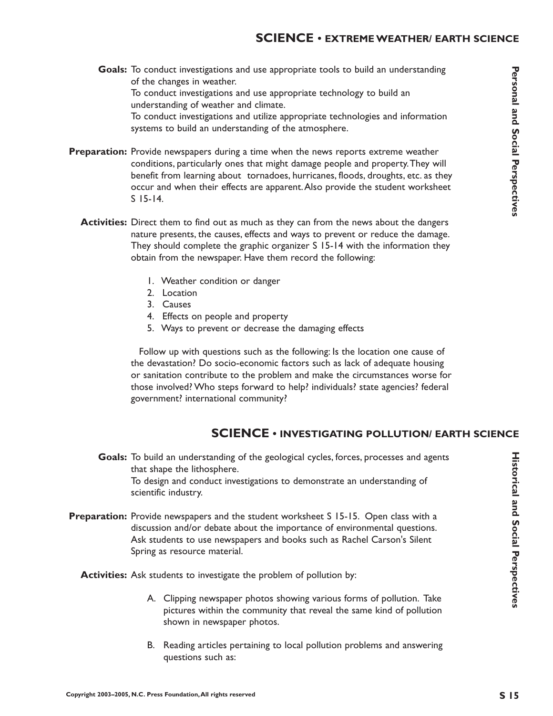- Goals: To conduct investigations and use appropriate tools to build an understanding of the changes in weather. To conduct investigations and use appropriate technology to build an understanding of weather and climate. To conduct investigations and utilize appropriate technologies and information systems to build an understanding of the atmosphere.
- **Preparation:** Provide newspapers during a time when the news reports extreme weather conditions, particularly ones that might damage people and property.They will benefit from learning about tornadoes, hurricanes, floods, droughts, etc. as they occur and when their effects are apparent.Also provide the student worksheet S 15-14.
	- **Activities:** Direct them to find out as much as they can from the news about the dangers nature presents, the causes, effects and ways to prevent or reduce the damage. They should complete the graphic organizer S 15-14 with the information they obtain from the newspaper. Have them record the following:
		- 1. Weather condition or danger
		- 2. Location
		- 3. Causes
		- 4. Effects on people and property
		- 5. Ways to prevent or decrease the damaging effects

Follow up with questions such as the following: Is the location one cause of the devastation? Do socio-economic factors such as lack of adequate housing or sanitation contribute to the problem and make the circumstances worse for those involved? Who steps forward to help? individuals? state agencies? federal government? international community?

#### **SCIENCE • INVESTIGATING POLLUTION/ EARTH SCIENCE**

Goals: To build an understanding of the geological cycles, forces, processes and agents that shape the lithosphere. To design and conduct investigations to demonstrate an understanding of scientific industry.

**Preparation:** Provide newspapers and the student worksheet S 15-15. Open class with a discussion and/or debate about the importance of environmental questions. Ask students to use newspapers and books such as Rachel Carson's Silent Spring as resource material.

**Activities:** Ask students to investigate the problem of pollution by:

- A. Clipping newspaper photos showing various forms of pollution. Take pictures within the community that reveal the same kind of pollution shown in newspaper photos.
- B. Reading articles pertaining to local pollution problems and answering questions such as: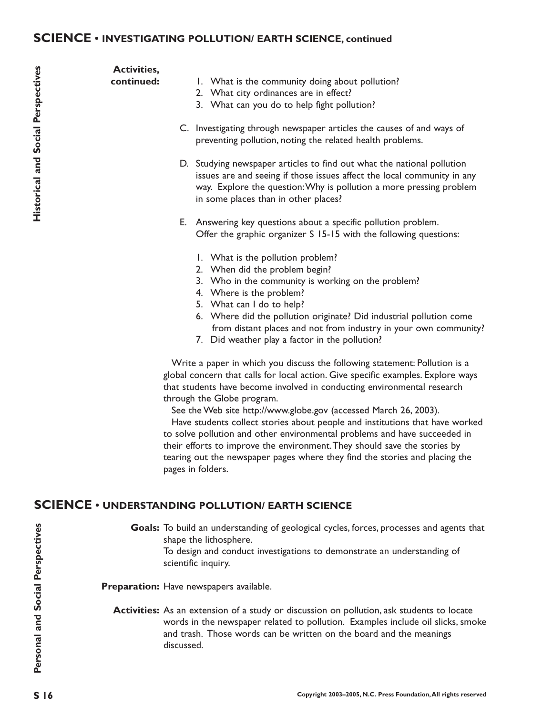#### **SCIENCE • INVESTIGATING POLLUTION/ EARTH SCIENCE, continued**

**Historical and Social Perspectives** 

**Activities, continued:**

- 1. What is the community doing about pollution?
	- 2. What city ordinances are in effect?
	- 3. What can you do to help fight pollution?
- C. Investigating through newspaper articles the causes of and ways of preventing pollution, noting the related health problems.
- D. Studying newspaper articles to find out what the national pollution issues are and seeing if those issues affect the local community in any way. Explore the question:Why is pollution a more pressing problem in some places than in other places?
- E. Answering key questions about a specific pollution problem. Offer the graphic organizer S 15-15 with the following questions:
	- 1. What is the pollution problem?
	- 2. When did the problem begin?
	- 3. Who in the community is working on the problem?
	- 4. Where is the problem?
	- 5. What can I do to help?
	- 6. Where did the pollution originate? Did industrial pollution come from distant places and not from industry in your own community?
	- 7. Did weather play a factor in the pollution?

Write a paper in which you discuss the following statement: Pollution is a global concern that calls for local action. Give specific examples. Explore ways that students have become involved in conducting environmental research through the Globe program.

See the Web site http://www.globe.gov (accessed March 26, 2003).

Have students collect stories about people and institutions that have worked to solve pollution and other environmental problems and have succeeded in their efforts to improve the environment.They should save the stories by tearing out the newspaper pages where they find the stories and placing the pages in folders.

#### **SCIENCE • UNDERSTANDING POLLUTION/ EARTH SCIENCE**

Goals: To build an understanding of geological cycles, forces, processes and agents that shape the lithosphere.

To design and conduct investigations to demonstrate an understanding of scientific inquiry.

Preparation: Have newspapers available.

**Activities:** As an extension of a study or discussion on pollution, ask students to locate words in the newspaper related to pollution. Examples include oil slicks, smoke and trash. Those words can be written on the board and the meanings discussed.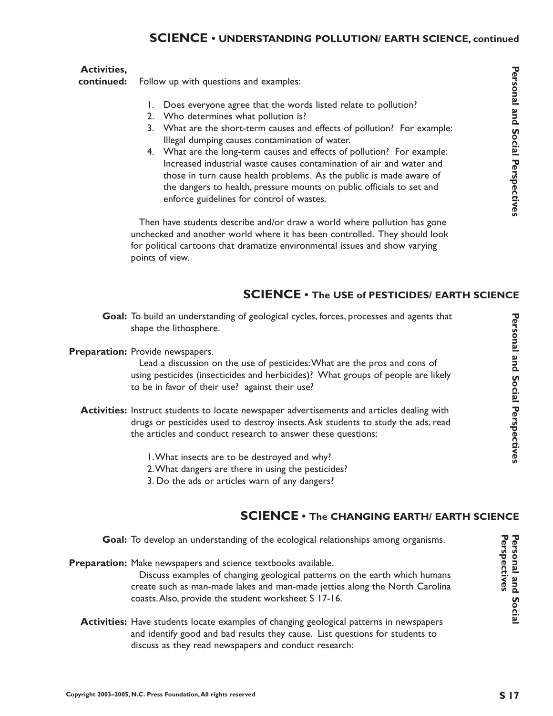#### **SCIENCE • UNDERSTANDING POLLUTION/ EARTH SCIENCE, continued**

#### **Activities,**

Follow up with questions and examples: **continued:**

- 1. Does everyone agree that the words listed relate to pollution?
- 2. Who determines what pollution is?
- 3. What are the short-term causes and effects of pollution? For example: Illegal dumping causes contamination of water.
- 4. What are the long-term causes and effects of pollution? For example: Increased industrial waste causes contamination of air and water and those in turn cause health problems. As the public is made aware of the dangers to health, pressure mounts on public officials to set and enforce guidelines for control of wastes.

Then have students describe and/or draw a world where pollution has gone unchecked and another world where it has been controlled. They should look for political cartoons that dramatize environmental issues and show varying points of view.

#### **SCIENCE • The USE of PESTICIDES/ EARTH SCIENCE**

Goal: To build an understanding of geological cycles, forces, processes and agents that shape the lithosphere.

#### Preparation: Provide newspapers.

Lead a discussion on the use of pesticides:What are the pros and cons of using pesticides (insecticides and herbicides)? What groups of people are likely to be in favor of their use? against their use?

- **Activities:** Instruct students to locate newspaper advertisements and articles dealing with drugs or pesticides used to destroy insects.Ask students to study the ads, read the articles and conduct research to answer these questions:
	- 1.What insects are to be destroyed and why?
	- 2.What dangers are there in using the pesticides?
	- 3. Do the ads or articles warn of any dangers?

#### **SCIENCE • The CHANGING EARTH/ EARTH SCIENCE**

Goal: To develop an understanding of the ecological relationships among organisms.

Preparation: Make newspapers and science textbooks available.

Discuss examples of changing geological patterns on the earth which humans create such as man-made lakes and man-made jetties along the North Carolina coasts.Also, provide the student worksheet S 17-16.

**Activities:** Have students locate examples of changing geological patterns in newspapers and identify good and bad results they cause. List questions for students to discuss as they read newspapers and conduct research:

Perspectives **Perspectives**Personal and Socia **Personal and Social**

**Personal and Social Perspectives**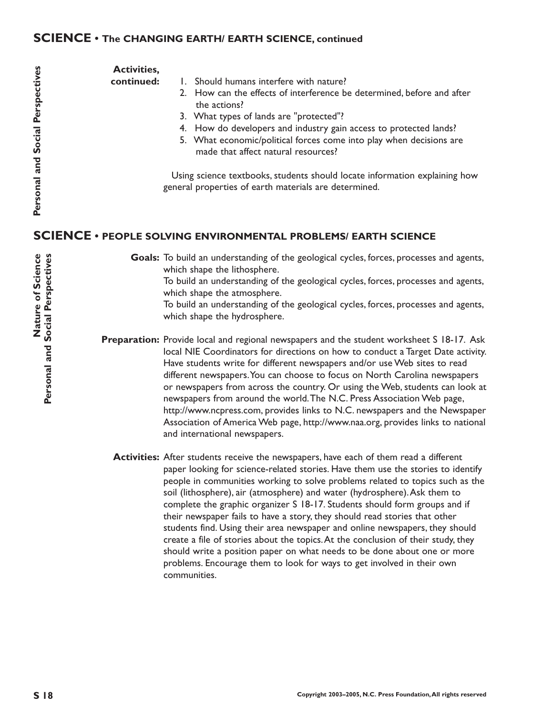#### **SCIENCE • The CHANGING EARTH/ EARTH SCIENCE, continued**

# Personal and Social Perspectives

**Activities,**

**continued:**

- 1. Should humans interfere with nature?
	- 2. How can the effects of interference be determined, before and after the actions?
	- 3. What types of lands are "protected"?
	- 4. How do developers and industry gain access to protected lands?
	- 5. What economic/political forces come into play when decisions are made that affect natural resources?

Using science textbooks, students should locate information explaining how general properties of earth materials are determined.

#### **SCIENCE • PEOPLE SOLVING ENVIRONMENTAL PROBLEMS/ EARTH SCIENCE**

Goals: To build an understanding of the geological cycles, forces, processes and agents, which shape the lithosphere.

To build an understanding of the geological cycles, forces, processes and agents, which shape the atmosphere.

To build an understanding of the geological cycles, forces, processes and agents, which shape the hydrosphere.

**Preparation:** Provide local and regional newspapers and the student worksheet S 18-17. Ask local NIE Coordinators for directions on how to conduct a Target Date activity. Have students write for different newspapers and/or use Web sites to read different newspapers.You can choose to focus on North Carolina newspapers or newspapers from across the country. Or using the Web, students can look at newspapers from around the world.The N.C. Press Association Web page, http://www.ncpress.com, provides links to N.C. newspapers and the Newspaper Association of America Web page, http://www.naa.org, provides links to national and international newspapers.

**Activities:** After students receive the newspapers, have each of them read a different paper looking for science-related stories. Have them use the stories to identify people in communities working to solve problems related to topics such as the soil (lithosphere), air (atmosphere) and water (hydrosphere).Ask them to complete the graphic organizer S 18-17. Students should form groups and if their newspaper fails to have a story, they should read stories that other students find. Using their area newspaper and online newspapers, they should create a file of stories about the topics.At the conclusion of their study, they should write a position paper on what needs to be done about one or more problems. Encourage them to look for ways to get involved in their own communities.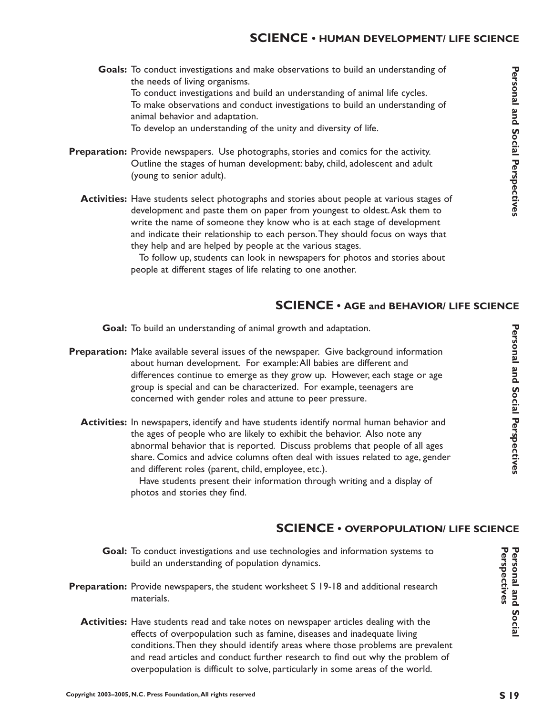Goals: To conduct investigations and make observations to build an understanding of the needs of living organisms. To conduct investigations and build an understanding of animal life cycles. To make observations and conduct investigations to build an understanding of animal behavior and adaptation.

To develop an understanding of the unity and diversity of life.

- Preparation: Provide newspapers. Use photographs, stories and comics for the activity. Outline the stages of human development: baby, child, adolescent and adult (young to senior adult).
	- **Activities:** Have students select photographs and stories about people at various stages of development and paste them on paper from youngest to oldest.Ask them to write the name of someone they know who is at each stage of development and indicate their relationship to each person.They should focus on ways that they help and are helped by people at the various stages.

To follow up, students can look in newspapers for photos and stories about people at different stages of life relating to one another.

#### **SCIENCE • AGE and BEHAVIOR/ LIFE SCIENCE**

Goal: To build an understanding of animal growth and adaptation.

- Preparation: Make available several issues of the newspaper. Give background information about human development. For example:All babies are different and differences continue to emerge as they grow up. However, each stage or age group is special and can be characterized. For example, teenagers are concerned with gender roles and attune to peer pressure.
	- **Activities:** In newspapers, identify and have students identify normal human behavior and the ages of people who are likely to exhibit the behavior. Also note any abnormal behavior that is reported. Discuss problems that people of all ages share. Comics and advice columns often deal with issues related to age, gender and different roles (parent, child, employee, etc.). Have students present their information through writing and a display of

photos and stories they find.

#### **SCIENCE • OVERPOPULATION/ LIFE SCIENCE**

- Goal: To conduct investigations and use technologies and information systems to build an understanding of population dynamics.
- **Preparation:** Provide newspapers, the student worksheet S 19-18 and additional research materials.
	- **Activities:** Have students read and take notes on newspaper articles dealing with the effects of overpopulation such as famine, diseases and inadequate living conditions.Then they should identify areas where those problems are prevalent and read articles and conduct further research to find out why the problem of overpopulation is difficult to solve, particularly in some areas of the world.

**Personal and Social Perspectives**

Personal and Social Perspectives

Personal and Social Perspectives **ersonal and Social Perspectives**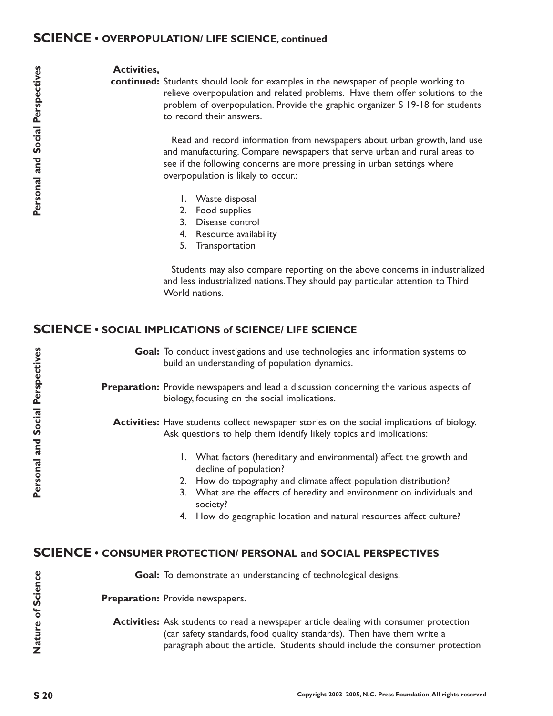#### **SCIENCE • OVERPOPULATION/ LIFE SCIENCE, continued**

#### **Activities,**

continued: Students should look for examples in the newspaper of people working to relieve overpopulation and related problems. Have them offer solutions to the problem of overpopulation. Provide the graphic organizer S 19-18 for students to record their answers.

> Read and record information from newspapers about urban growth, land use and manufacturing. Compare newspapers that serve urban and rural areas to see if the following concerns are more pressing in urban settings where overpopulation is likely to occur.:

- 1. Waste disposal
- 2. Food supplies
- 3. Disease control
- 4. Resource availability
- 5. Transportation

Students may also compare reporting on the above concerns in industrialized and less industrialized nations.They should pay particular attention to Third World nations.

#### **SCIENCE • SOCIAL IMPLICATIONS of SCIENCE/ LIFE SCIENCE**

Goal: To conduct investigations and use technologies and information systems to build an understanding of population dynamics.

Preparation: Provide newspapers and lead a discussion concerning the various aspects of biology, focusing on the social implications.

Activities: Have students collect newspaper stories on the social implications of biology. Ask questions to help them identify likely topics and implications:

- 1. What factors (hereditary and environmental) affect the growth and decline of population?
- 2. How do topography and climate affect population distribution?
- 3. What are the effects of heredity and environment on individuals and society?
- 4. How do geographic location and natural resources affect culture?

#### **SCIENCE • CONSUMER PROTECTION/ PERSONAL and SOCIAL PERSPECTIVES**

Goal: To demonstrate an understanding of technological designs.

Preparation: Provide newspapers.

**Activities:** Ask students to read a newspaper article dealing with consumer protection (car safety standards, food quality standards). Then have them write a paragraph about the article. Students should include the consumer protection

**Nature of Science**

Nature of Science

**Personal and Social Perspectives**